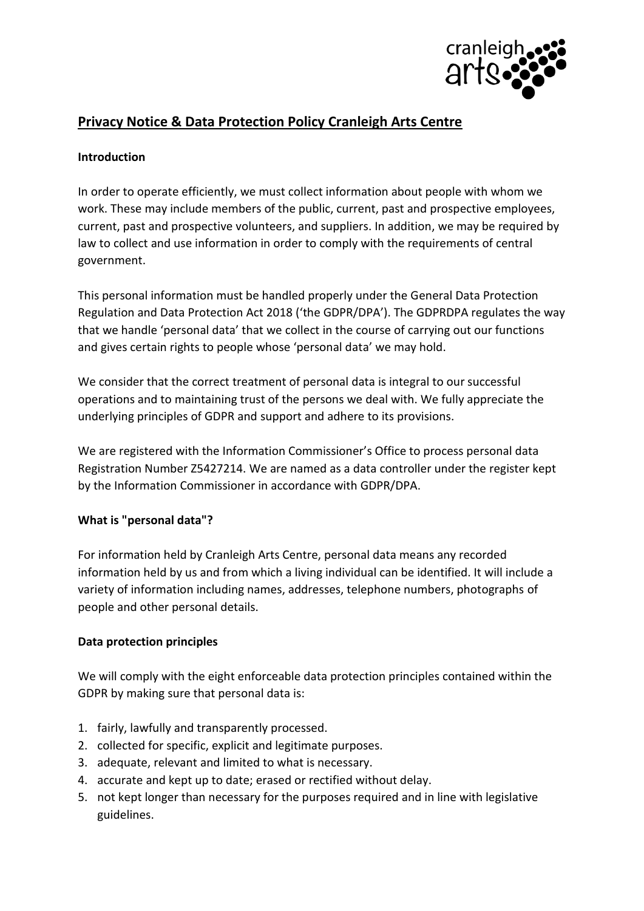

# **Privacy Notice & Data Protection Policy Cranleigh Arts Centre**

### **Introduction**

In order to operate efficiently, we must collect information about people with whom we work. These may include members of the public, current, past and prospective employees, current, past and prospective volunteers, and suppliers. In addition, we may be required by law to collect and use information in order to comply with the requirements of central government.

This personal information must be handled properly under the General Data Protection Regulation and Data Protection Act 2018 ('the GDPR/DPA'). The GDPRDPA regulates the way that we handle 'personal data' that we collect in the course of carrying out our functions and gives certain rights to people whose 'personal data' we may hold.

We consider that the correct treatment of personal data is integral to our successful operations and to maintaining trust of the persons we deal with. We fully appreciate the underlying principles of GDPR and support and adhere to its provisions.

We are registered with the Information Commissioner's Office to process personal data Registration Number Z5427214. We are named as a data controller under the register kept by the Information Commissioner in accordance with GDPR/DPA.

### **What is "personal data"?**

For information held by Cranleigh Arts Centre, personal data means any recorded information held by us and from which a living individual can be identified. It will include a variety of information including names, addresses, telephone numbers, photographs of people and other personal details.

### **Data protection principles**

We will comply with the eight enforceable data protection principles contained within the GDPR by making sure that personal data is:

- 1. fairly, lawfully and transparently processed.
- 2. collected for specific, explicit and legitimate purposes.
- 3. adequate, relevant and limited to what is necessary.
- 4. accurate and kept up to date; erased or rectified without delay.
- 5. not kept longer than necessary for the purposes required and in line with legislative guidelines.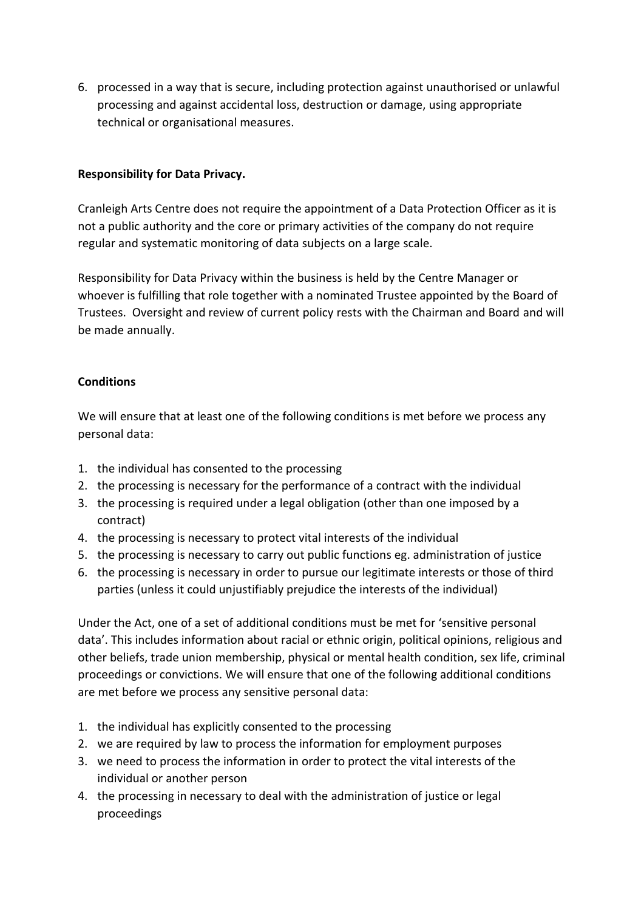6. processed in a way that is secure, including protection against unauthorised or unlawful processing and against accidental loss, destruction or damage, using appropriate technical or organisational measures.

## **Responsibility for Data Privacy.**

Cranleigh Arts Centre does not require the appointment of a Data Protection Officer as it is not a public authority and the core or primary activities of the company do not require regular and systematic monitoring of data subjects on a large scale.

Responsibility for Data Privacy within the business is held by the Centre Manager or whoever is fulfilling that role together with a nominated Trustee appointed by the Board of Trustees. Oversight and review of current policy rests with the Chairman and Board and will be made annually.

### **Conditions**

We will ensure that at least one of the following conditions is met before we process any personal data:

- 1. the individual has consented to the processing
- 2. the processing is necessary for the performance of a contract with the individual
- 3. the processing is required under a legal obligation (other than one imposed by a contract)
- 4. the processing is necessary to protect vital interests of the individual
- 5. the processing is necessary to carry out public functions eg. administration of justice
- 6. the processing is necessary in order to pursue our legitimate interests or those of third parties (unless it could unjustifiably prejudice the interests of the individual)

Under the Act, one of a set of additional conditions must be met for 'sensitive personal data'. This includes information about racial or ethnic origin, political opinions, religious and other beliefs, trade union membership, physical or mental health condition, sex life, criminal proceedings or convictions. We will ensure that one of the following additional conditions are met before we process any sensitive personal data:

- 1. the individual has explicitly consented to the processing
- 2. we are required by law to process the information for employment purposes
- 3. we need to process the information in order to protect the vital interests of the individual or another person
- 4. the processing in necessary to deal with the administration of justice or legal proceedings